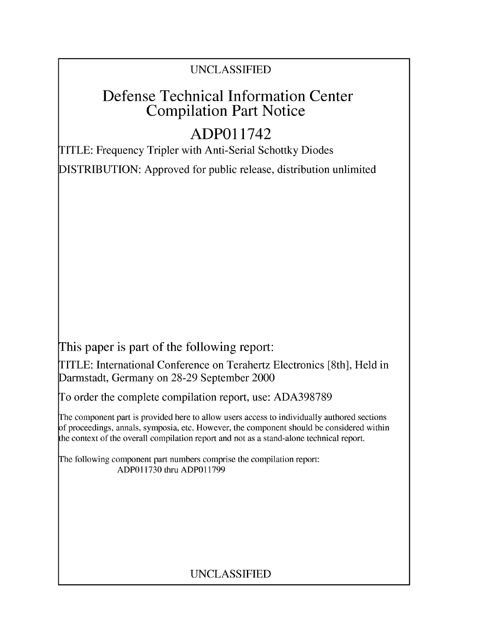### UNCLASSIFIED

## Defense Technical Information Center Compilation Part Notice

## **ADPO** 11742

TITLE: Frequency Tripler with Anti-Serial Schottky Diodes

DISTRIBUTION: Approved for public release, distribution unlimited

This paper is part of the following report:

TITLE: International Conference on Terahertz Electronics [8th], Held in Darmstadt, Germany on 28-29 September 2000

To order the complete compilation report, use: ADA398789

The component part is provided here to allow users access to individually authored sections f proceedings, annals, symposia, etc. However, the component should be considered within [he context of the overall compilation report and not as a stand-alone technical report.

The following component part numbers comprise the compilation report: ADPO11730 thru ADP011799

## UNCLASSIFIED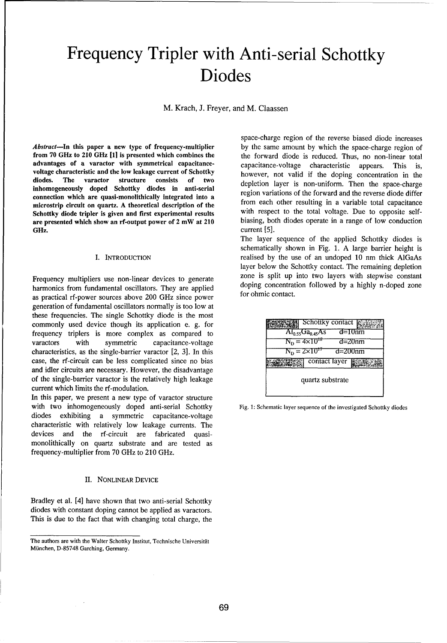# Frequency Tripler with Anti-serial Schottky Diodes

M. Krach, J. Freyer, and M. Claassen

advantages of a varactor with symmetrical capacitance- capacitance-voltage characteristic appears. This is, voltage characteristic and the low leakage current of Schottky however, not valid if the doping concentration in the diodes. The varactor structure consists of two depletion layer is non-uniform. Then the space-charge inhomogeneously doped Schottky diodes in anti-serial depiction layer is non-uniform. Then the space-charge region variations of the forward and the reverse diode differ connection which are quasi-monolithically integrated into a region variations of the forward and the reverse diode different points of the form each other resulting in a variable total capacitance microstrip circuit on quartz. A theoretical description of the from each other resulting in a variable total capacitance Schottky diode tripler is given and first experimental results with respect to the total voltage. Due to opposite self-<br>are presented which show an rf-output power of 2 mW at 210 biasing, both diodes operate in a range of are presented which show an rf-output power of 2 mW at 210 GHz. current [5].

harmonics from fundamental oscillators. They are applied doping concentration for  $\frac{1}{200}$  and  $\frac{1}{200}$   $\frac{1}{200}$   $\frac{1}{200}$   $\frac{1}{200}$   $\frac{1}{200}$   $\frac{1}{200}$   $\frac{1}{200}$   $\frac{1}{200}$   $\frac{1}{200}$   $\frac{1}{200}$   $\frac{$ as practical rf-power sources above 200 GHz since power generation of fundamental oscillators normally is too low at these frequencies. The single Schottky diode is the most commonly used device though its application e. g. for frequency triplers is more complex as compared to varactors with symmetric capacitance-voltage characteristics, as the single-barrier varactor [2, 3]. In this case, the rf-circuit can be less complicated since no bias and idler circuits are necessary. However, the disadvantage of the single-barrier varactor is the relatively high leakage current which limits the rf-modulation.

In this paper, we present a new type of varactor structure with two inhomogeneously doped anti-serial Schottky Fig. 1: Schematic layer sequence of the investigated Schottky diodes diodes exhibiting a symmetric capacitance-voltage characteristic with relatively low leakage currents. The devices and the rf-circuit are fabricated quasimonolithically on quartz substrate and are tested as frequency-multiplier from 70 GHz to 210 GHz.

### II. NONLINEAR DEVICE

Bradley et al. [4] have shown that two anti-serial Schottky diodes with constant doping cannot be applied as varactors. This is due to the fact that with changing total charge, the

space-charge region of the reverse biased diode increases *Abstract*—In this paper a new type of frequency-multiplier by the same amount by which the space-charge region of from 70 GHz to 210 GHz [1] is presented which combines the the forward diode is reduced. Thus, no non-linea the forward diode is reduced. Thus, no non-linear total

The layer sequence of the applied Schottky diodes is schematically shown in Fig. 1. A large barrier height is I. INTRODUCTION realised by the use of an undoped 10 nm thick AlGaAs layer below the Schottky contact. The remaining depletion Frequency multipliers use non-linear devices to generate zone is split up into two layers with stepwise constant harmonics from fundamental oscillators. They are emplied doping concentration followed by a highly n-doped zo

|                                                 | Schottky contact                  |             |
|-------------------------------------------------|-----------------------------------|-------------|
|                                                 | $\overline{Al_{0.55}Ga_{0.45}As}$ | $d = 10nm$  |
|                                                 | $N_{\rm p} = 4 \times 10^{18}$    | $d = 20$ nm |
| $N_{\text{D}} = 2 \times 10^{47}$<br>$d=200$ nm |                                   |             |
|                                                 | contact layer                     |             |
| quartz substrate                                |                                   |             |

The authors are with the Walter Schottky Institut, Technische Universität Miinchen, D-85748 Garching, Germany.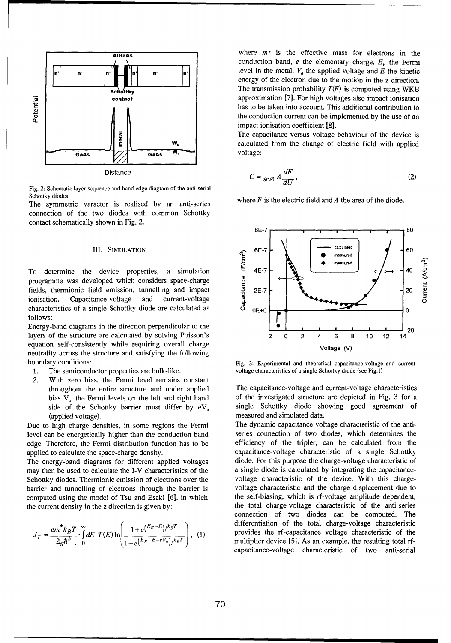

Fig. 2: Schematic layer sequence and band edge diagram of the anti-serial Schottky diodes

The symmetric varactor is realised by an anti-series where  $F$  is the electric field and  $A$  the area of the diode. connection of the two diodes with common Schottky contact schematically shown in Fig. 2.

programme was developed which considers space-charge **Cu** fields, thermionic field emission, tunnelling and impact  $\frac{1}{2}$  2E-7 characteristics of a single Schottky diode are calculated as  $\sigma_{0E+0}$  **OE+O 0E+O 0E+** follows:

equation self-consistently while requiring overall charge Voltage (V) neutrality across the structure and satisfying the following boundary conditions: The experimental and theoretical capacitance-voltage and current-

- 
- 2. With zero bias, the Fermi level remains constant (applied voltage), measured and simulated data.

level can be energetically higher than the conduction band series connection of two diodes, which determines the edge. Therefore, the Fermi distribution function has to be efficiency of the tripler, can be calculated from the applied to calculate the space-charge density. capacitance-voltage characteristic of a single Schottky

may then be used to calculate the I-V characteristics of the a single diode is calculated by integrating the capacitance-Schottky diodes. Thermionic emission of electrons over the voltage characteristic of the device. With this chargebarrier and tunnelling of electrons through the barrier is voltage characteristic and the charge displacement due to computed using the model of Tsu and Esaki [6], in which the self-biasing, which is rf-voltage amplitude dependent, the current density in the z direction is given by: the total charge-voltage characteristic of the anti-series

$$
J_T = \frac{em^* k_B T}{2_{\pi} \hbar^3} \cdot \int_{0}^{\infty} dE \ T(E) \ln \left( \frac{1 + e^{(E_F - E)/k_B T}}{1 + e^{(E_F - E - eV_a)/k_B T}} \right), \tag{1}
$$

 $\overline{ABGaAs}$  where  $m^*$  is the effective mass for electrons in the conduction band,  $e$  the elementary charge,  $E_F$  the Fermi  $\mathbf{r}_n$   $\mathbf{r}_n$ <sup>[</sup>] level in the metal,  $V_a$  the applied voltage and E the kinetic energy of the electron due to the motion in the z direction. **Schottky The transmission probability**  $T(E)$  **is computed using WKB** contact approximation [7]. For high voltages also impact ionisation **C-** has to be taken into account. This additional contribution to the conduction current can be implemented by the use of an impact ionisation coefficient  $[8]$ .

> The capacitance versus voltage behaviour of the device is **E**  $\mathbf{w}_{\rm c}$  **C** Calculated from the change of electric field with applied

Distance 
$$
C = {}_{\mathcal{E}r\mathcal{E}0}A\frac{dF}{dU},
$$
 (2)



1. The semiconductor properties are bulk-like, voltage characteristics of a single Schottky diode (see Fig.1)

throughout the entire structure and under applied The capacitance-voltage and current-voltage characteristics bias  $V_a$ , the Fermi levels on the left and right hand of the investigated structure are depicted in Fig. 3 for a side of the Schottky barrier must differ by  $eV_a$  single Schottky diode showing good agreement of

Due to high charge densities, in some regions the Fermi The dynamic capacitance voltage characteristic of the anti-The energy-band diagrams for different applied voltages diode. For this purpose the charge-voltage characteristic of connection of two diodes can be computed. The differentiation of the total charge-voltage characteristic  $\frac{B}{B}$ .  $\int dE$   $T(E) \ln \left( \frac{1+e^{(E_F-E)/k_BT}}{1+e^{(E_F-E)/k_BT}} \right)$ , (1) provides the rf-capacitance voltage characteristic of the capacitance-voltage characteristic of two anti-serial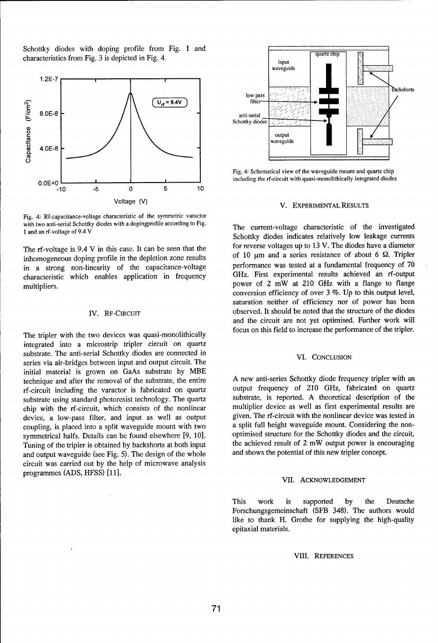Schottky diodes with doping profile from Fig. 1 and characteristics from Fig. 3 is depicted in Fig. 4.



Fig. 4: Rf-capacitance-voltage characteristic of the symmetric varactor with two anti-serial Schottky diodes with a dopingprofile according to Fig. The current-voltage characteristic of the investigated<br>1 and an rf-voltage of 9.4 V

inhomogeneous doping profile in the depletion zone results of 10 um and a series resistance of about 6 **52.** Tripler<br>in a strong non-linearity of the canacitance-voltage performance was tested at a fundamental frequency of in a strong non-linearity of the capacitance-voltage performance was tested at a fundamental frequency of 70<br>characteristic which enables application in frequency GHz. First experimental results achieved an rf-output characteristic which enables application in frequency multipliers.<br>
multipliers.<br>
power of 2 mW at 210 GHz with a flange to flange

integrated into a microstrip tripler circuit on quartz substrate. The anti-serial Schottky diodes are connected in VI. CONCLUSION series via air-bridges between input and output circuit. The initial material is grown on GaAs substrate by MBE technique and after the removal of the substrate, the entire A new anti-series Schottky diode frequency tripler with an <br>
recircuit including the varactor is fabricated on quartz output frequency of 210 GHz, fabricated on rf-circuit including the varactor is fabricated on quartz output frequency of 210 GHz, fabricated on quartz<br>substrate using standard photoresist technology. The quartz substrate, is reported. A theoretical description of t substrate using standard photoresist technology. The quartz substrate, is reported. A theoretical description of the<br>chin with the rf-circuit which consists of the nonlinear multiplier device as well as first experimental chip with the rf-circuit, which consists of the nonlinear multiplier device as well as first experimental results are<br>device a low-pass filter and input as well as output given. The rf-circuit with the nonlinear device was device, a low-pass filter, and input as well as output given. The rf-circuit with the nonlinear device was tested in<br>coupling is placed into a split waveguide mount with two a split full height waveguide mount. Considering coupling, is placed into a split waveguide mount with two a split full height waveguide mount. Considering the non-<br>symmetrical halfs. Details can be found elsewhere [9, 10] optimised structure for the Schottky diodes and symmetrical halfs. Details can be found elsewhere [9, 10]. <br>Tuning of the tripler is obtained by hackshorts at both input the achieved result of 2 mW output power is encouraging Tuning of the tripler is obtained by backshorts at both input the achieved result of 2 mW output power is encouraging of the state of the whole and shows the potential of this new tripler concept. and output waveguide (see Fig. 5). The design of the whole circuit was carried out by the help of microwave analysis programmes (ADS, HFSS) [11].



Fig. 4: Schematical view of the waveguide mount and quartz chip

Schottky diodes indicates relatively low leakage currents The rf-voltage is 9.4 V in this case. It can be seen that the for reverse voltages up to 13 V. The diodes have a diameter inhability results of 10  $\mu$ m and a series resistance of about 6  $\Omega$ . Tripler conversion efficiency of over 3 %. Up to this output level, saturation neither of efficiency nor of power has been IV. RF-CIRCUIT observed. It should be noted that the structure of the diodes and the circuit are not yet optimised. Further work will The tripler with the two devices was quasi-monolithically focus on this field to increase the performance of the tripler.

### VII. ACKNOWLEDGEMENT

This work is supported by the Deutsche Forschungsgemeinschaft (SFB 348). The authors would like to thank H. Grothe for supplying the high-quality epitaxial materials.

### VIII. REFERENCES